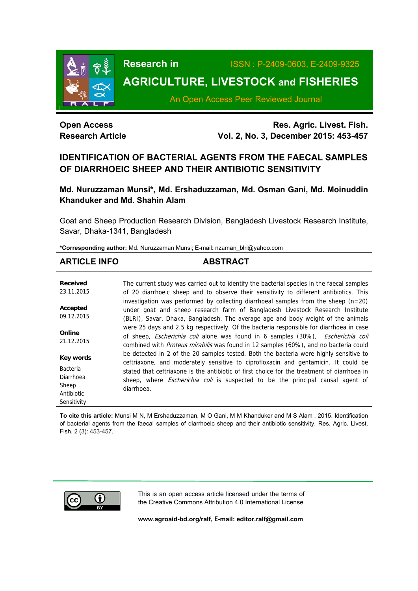

**Research in** ISSN : P-2409-0603, E-2409-9325

# **AGRICULTURE, LIVESTOCK and FISHERIES**

An Open Access Peer Reviewed Journal

## **Open Access Research Article**

**Res. Agric. Livest. Fish. Vol. 2, No. 3, December 2015: 453-457**

## **IDENTIFICATION OF BACTERIAL AGENTS FROM THE FAECAL SAMPLES OF DIARRHOEIC SHEEP AND THEIR ANTIBIOTIC SENSITIVITY**

**Md. Nuruzzaman Munsi\*, Md. Ershaduzzaman, Md. Osman Gani, Md. Moinuddin Khanduker and Md. Shahin Alam** 

Goat and Sheep Production Research Division, Bangladesh Livestock Research Institute, Savar, Dhaka-1341, Bangladesh

**\*Corresponding author:** Md. Nuruzzaman Munsi; E-mail: nzaman\_blri@yahoo.com

## **ARTICLE INFO ABSTRACT**

| Received<br>23.11.2015                                             | The current study was carried out to identify the bacterial species in the faecal samples<br>of 20 diarrhoeic sheep and to observe their sensitivity to different antibiotics. This                                                                                                     |  |  |  |
|--------------------------------------------------------------------|-----------------------------------------------------------------------------------------------------------------------------------------------------------------------------------------------------------------------------------------------------------------------------------------|--|--|--|
| Accepted<br>09.12.2015                                             | investigation was performed by collecting diarrhoeal samples from the sheep $(n=20)$<br>under goat and sheep research farm of Bangladesh Livestock Research Institute<br>(BLRI), Savar, Dhaka, Bangladesh. The average age and body weight of the animals                               |  |  |  |
| Online<br>21.12.2015                                               | were 25 days and 2.5 kg respectively. Of the bacteria responsible for diarrhoea in case<br>of sheep, <i>Escherichia coli</i> alone was found in 6 samples (30%), <i>Escherichia coli</i><br>combined with <i>Proteus mirabilis</i> was found in 12 samples (60%), and no bacteria could |  |  |  |
| Key words                                                          | be detected in 2 of the 20 samples tested. Both the bacteria were highly sensitive to<br>ceftriaxone, and moderately sensitive to ciprofloxacin and gentamicin. It could be                                                                                                             |  |  |  |
| <b>Bacteria</b><br>Diarrhoea<br>Sheep<br>Antibiotic<br>Sensitivity | stated that ceftriaxone is the antibiotic of first choice for the treatment of diarrhoea in<br>sheep, where <i>Escherichia coli</i> is suspected to be the principal causal agent of<br>diarrhoea.                                                                                      |  |  |  |

**To cite this article:** Munsi M N, M Ershaduzzaman, M O Gani, M M Khanduker and M S Alam , 2015. Identification of bacterial agents from the faecal samples of diarrhoeic sheep and their antibiotic sensitivity. Res. Agric. Livest. Fish. 2 (3): 453-457.



This is an open access article licensed under the terms of the Creative Commons Attribution 4.0 International License

**www.agroaid-bd.org/ralf, E-mail: editor.ralf@gmail.com**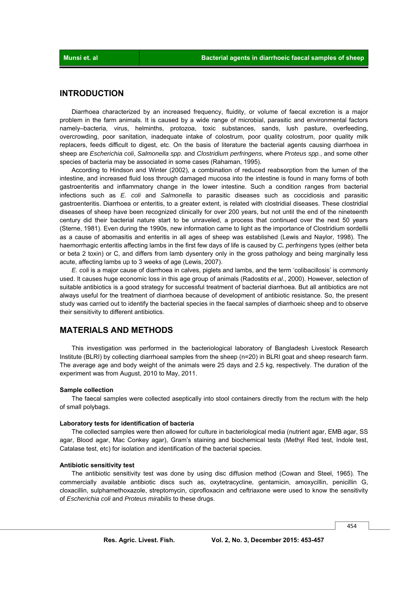#### **INTRODUCTION**

 Diarrhoea characterized by an increased frequency, fluidity, or volume of faecal excretion is a major problem in the farm animals. It is caused by a wide range of microbial, parasitic and environmental factors namely–bacteria, virus, helminths, protozoa, toxic substances, sands, lush pasture, overfeeding, overcrowding, poor sanitation, inadequate intake of colostrum, poor quality colostrum, poor quality milk replacers, feeds difficult to digest, etc. On the basis of literature the bacterial agents causing diarrhoea in sheep are *Escherichia coli*, *Salmonella spp*. and *Clostridium perfringens,* where *Proteus spp.*, and some other species of bacteria may be associated in some cases (Rahaman, 1995).

 According to Hindson and Winter (2002), a combination of reduced reabsorption from the lumen of the intestine, and increased fluid loss through damaged mucosa into the intestine is found in many forms of both gastroenteritis and inflammatory change in the lower intestine. Such a condition ranges from bacterial infections such as *E. coli* and *Salmonella* to parasitic diseases such as coccidiosis and parasitic gastroenteritis. Diarrhoea or enteritis, to a greater extent, is related with clostridial diseases. These clostridial diseases of sheep have been recognized clinically for over 200 years, but not until the end of the nineteenth century did their bacterial nature start to be unraveled, a process that continued over the next 50 years (Sterne, 1981). Even during the 1990s, new information came to light as the importance of Clostridium sordellii as a cause of abomasitis and enteritis in all ages of sheep was established (Lewis and Naylor, 1998). The haemorrhagic enteritis affecting lambs in the first few days of life is caused by *C. perfringens* types (either beta or beta 2 toxin) or C, and differs from lamb dysentery only in the gross pathology and being marginally less acute, affecting lambs up to 3 weeks of age (Lewis, 2007).

 *E. coli* is a major cause of diarrhoea in calves, piglets and lambs, and the term 'colibacillosis' is commonly used. It causes huge economic loss in this age group of animals (Radostits *et al*., 2000). However, selection of suitable antibiotics is a good strategy for successful treatment of bacterial diarrhoea. But all antibiotics are not always useful for the treatment of diarrhoea because of development of antibiotic resistance. So, the present study was carried out to identify the bacterial species in the faecal samples of diarrhoeic sheep and to observe their sensitivity to different antibiotics.

#### **MATERIALS AND METHODS**

 This investigation was performed in the bacteriological laboratory of Bangladesh Livestock Research Institute (BLRI) by collecting diarrhoeal samples from the sheep (n=20) in BLRI goat and sheep research farm. The average age and body weight of the animals were 25 days and 2.5 kg, respectively. The duration of the experiment was from August, 2010 to May, 2011.

#### **Sample collection**

 The faecal samples were collected aseptically into stool containers directly from the rectum with the help of small polybags.

#### **Laboratory tests for identification of bacteria**

 The collected samples were then allowed for culture in bacteriological media (nutrient agar, EMB agar, SS agar, Blood agar, Mac Conkey agar), Gram's staining and biochemical tests (Methyl Red test, Indole test, Catalase test, etc) for isolation and identification of the bacterial species.

#### **Antibiotic sensitivity test**

 The antibiotic sensitivity test was done by using disc diffusion method (Cowan and Steel, 1965). The commercially available antibiotic discs such as, oxytetracycline, gentamicin, amoxycillin, penicillin G, cloxacillin, sulphamethoxazole, streptomycin, ciprofloxacin and ceftriaxone were used to know the sensitivity of *Escherichia coli* and *Proteus mirabilis* to these drugs.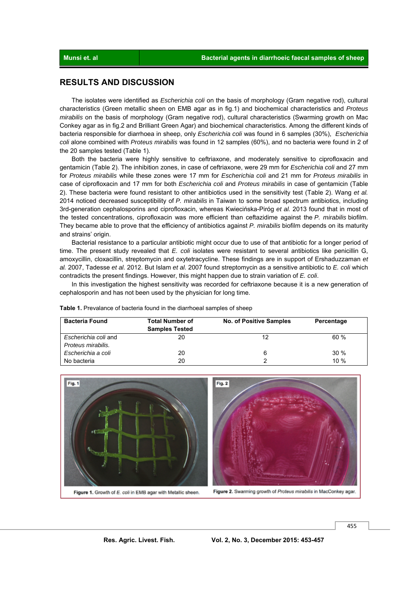## **RESULTS AND DISCUSSION**

 The isolates were identified as *Escherichia coli* on the basis of morphology (Gram negative rod), cultural characteristics (Green metallic sheen on EMB agar as in fig.1) and biochemical characteristics and *Proteus mirabilis* on the basis of morphology (Gram negative rod), cultural characteristics (Swarming growth on Mac Conkey agar as in fig.2 and Brilliant Green Agar) and biochemical characteristics. Among the different kinds of bacteria responsible for diarrhoea in sheep, only *Escherichia coli* was found in 6 samples (30%), *Escherichia coli* alone combined with *Proteus mirabilis* was found in 12 samples (60%), and no bacteria were found in 2 of the 20 samples tested (Table 1).

 Both the bacteria were highly sensitive to ceftriaxone, and moderately sensitive to ciprofloxacin and gentamicin (Table 2). The inhibition zones, in case of ceftriaxone, were 29 mm for *Escherichia coli* and 27 mm for *Proteus mirabilis* while these zones were 17 mm for *Escherichia coli* and 21 mm for *Proteus mirabilis* in case of ciprofloxacin and 17 mm for both *Escherichia coli* and *Proteus mirabilis* in case of gentamicin (Table 2). These bacteria were found resistant to other antibiotics used in the sensitivity test (Table 2). Wang *et al.* 2014 noticed decreased susceptibility of *P. mirabilis* in Taiwan to some broad spectrum antibiotics, including 3rd-generation cephalosporins and ciprofloxacin, whereas Kwiecińska-Piróg *et al.* 2013 found that in most of the tested concentrations, ciprofloxacin was more efficient than ceftazidime against the *P. mirabilis* biofilm. They became able to prove that the efficiency of antibiotics against *P. mirabilis* biofilm depends on its maturity and strains' origin.

 Bacterial resistance to a particular antibiotic might occur due to use of that antibiotic for a longer period of time. The present study revealed that *E. coli* isolates were resistant to several antibiotics like penicillin G, amoxycillin, cloxacillin, streptomycin and oxytetracycline. These findings are in support of Ershaduzzaman *et al.* 2007, Tadesse *et al.* 2012. But Islam *et al.* 2007 found streptomycin as a sensitive antibiotic to *E. coli* which contradicts the present findings. However, this might happen due to strain variation of *E. coli*.

 In this investigation the highest sensitivity was recorded for ceftriaxone because it is a new generation of cephalosporin and has not been used by the physician for long time.

| <b>Bacteria Found</b> | <b>Total Number of</b><br><b>Samples Tested</b> | <b>No. of Positive Samples</b> | Percentage |
|-----------------------|-------------------------------------------------|--------------------------------|------------|
| Escherichia coli and  | 20                                              | 12                             | 60%        |
| Proteus mirabilis.    |                                                 |                                |            |
| Escherichia a coli    | 20                                              | 6                              | 30%        |
| No bacteria           | 20                                              |                                | 10%        |

**Table 1.** Prevalance of bacteria found in the diarrhoeal samples of sheep



Figure 1. Growth of E. coli in EMB agar with Metallic sheen.

Figure 2. Swarming growth of Proteus mirabilis in MacConkey agar.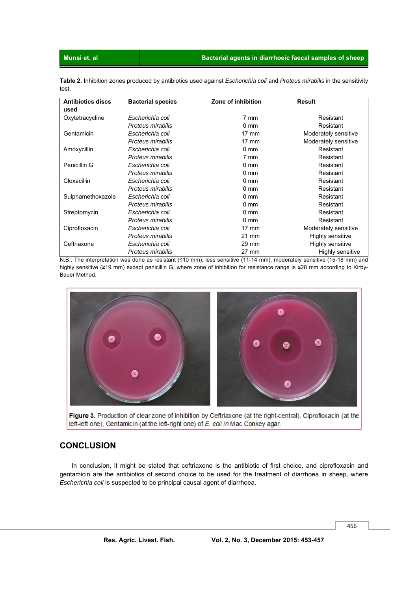#### **Munsi et. al <b>Bacterial agents in diarrhoeic faecal samples of sheep Bacterial agents in diarrhoeic faecal samples of sheep**

**Table 2.** Inhibition zones produced by antibiotics used against *Escherichia coli* and *Proteus mirabilis* in the sensitivity test.

| <b>Antibiotics discs</b> | <b>Bacterial species</b> | Zone of inhibition | <b>Result</b>        |
|--------------------------|--------------------------|--------------------|----------------------|
| used                     |                          |                    |                      |
| Oxytetracycline          | Escherichia coli         | $7 \text{ mm}$     | Resistant            |
|                          | Proteus mirabilis        | $0 \text{ mm}$     | Resistant            |
| Gentamicin               | Escherichia coli         | $17 \text{ mm}$    | Moderately sensitive |
|                          | Proteus mirabilis        | $17 \text{ mm}$    | Moderately sensitive |
| Amoxycillin              | Escherichia coli         | 0 <sub>mm</sub>    | Resistant            |
|                          | Proteus mirabilis        | 7 mm               | Resistant            |
| Penicillin G             | Escherichia coli         | 0 <sub>mm</sub>    | Resistant            |
|                          | Proteus mirabilis        | $0 \text{ mm}$     | Resistant            |
| Cloxacillin              | Escherichia coli         | 0 <sub>mm</sub>    | Resistant            |
|                          | Proteus mirabilis        | $0 \text{ mm}$     | Resistant            |
| Sulphamethoxazole        | Escherichia coli         | $0 \text{ mm}$     | Resistant            |
|                          | Proteus mirabilis        | 0 <sub>mm</sub>    | Resistant            |
| Streptomycin             | Escherichia coli         | $0 \text{ mm}$     | Resistant            |
|                          | Proteus mirabilis        | $0 \text{ mm}$     | Resistant            |
| Ciprofloxacin            | Escherichia coli         | $17 \text{ mm}$    | Moderately sensitive |
|                          | Proteus mirabilis        | 21 mm              | Highly sensitive     |
| Ceftriaxone              | Escherichia coli         | 29 mm              | Highly sensitive     |
|                          | Proteus mirabilis        | $27 \text{ mm}$    | Highly sensitive     |

N.B.: The interpretation was done as resistant (≤10 mm), less sensitive (11-14 mm), moderately sensitive (15-18 mm) and highly sensitive (≥19 mm) except penicillin G, where zone of inhibition for resistance range is ≤28 mm according to Kirby-Bauer Method.



Figure 3. Production of clear zone of inhibition by Ceftriaxone (at the right-central), Ciprofloxacin (at the left-left one), Gentamicin (at the left-right one) of E. coli in Mac Conkey agar.

## **CONCLUSION**

 In conclusion, it might be stated that ceftriaxone is the antibiotic of first choice, and ciprofloxacin and gentamicin are the antibiotics of second choice to be used for the treatment of diarrhoea in sheep, where *Escherichia coli* is suspected to be principal causal agent of diarrhoea.